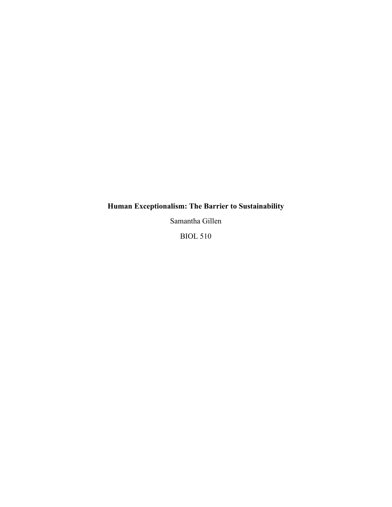# **Human Exceptionalism: The Barrier to Sustainability**

Samantha Gillen

BIOL 510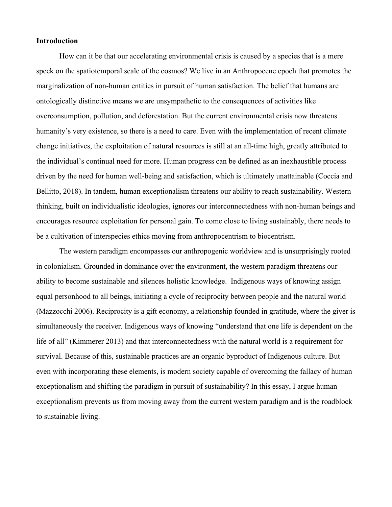## **Introduction**

How can it be that our accelerating environmental crisis is caused by a species that is a mere speck on the spatiotemporal scale of the cosmos? We live in an Anthropocene epoch that promotes the marginalization of non-human entities in pursuit of human satisfaction. The belief that humans are ontologically distinctive means we are unsympathetic to the consequences of activities like overconsumption, pollution, and deforestation. But the current environmental crisis now threatens humanity's very existence, so there is a need to care. Even with the implementation of recent climate change initiatives, the exploitation of natural resources is still at an all-time high, greatly attributed to the individual's continual need for more. Human progress can be defined as an inexhaustible process driven by the need for human well-being and satisfaction, which is ultimately unattainable (Coccia and Bellitto, 2018). In tandem, human exceptionalism threatens our ability to reach sustainability. Western thinking, built on individualistic ideologies, ignores our interconnectedness with non-human beings and encourages resource exploitation for personal gain. To come close to living sustainably, there needs to be a cultivation of interspecies ethics moving from anthropocentrism to biocentrism.

The western paradigm encompasses our anthropogenic worldview and is unsurprisingly rooted in colonialism. Grounded in dominance over the environment, the western paradigm threatens our ability to become sustainable and silences holistic knowledge. Indigenous ways of knowing assign equal personhood to all beings, initiating a cycle of reciprocity between people and the natural world (Mazzocchi 2006). Reciprocity is a gift economy, a relationship founded in gratitude, where the giver is simultaneously the receiver. Indigenous ways of knowing "understand that one life is dependent on the life of all" (Kimmerer 2013) and that interconnectedness with the natural world is a requirement for survival. Because of this, sustainable practices are an organic byproduct of Indigenous culture. But even with incorporating these elements, is modern society capable of overcoming the fallacy of human exceptionalism and shifting the paradigm in pursuit of sustainability? In this essay, I argue human exceptionalism prevents us from moving away from the current western paradigm and is the roadblock to sustainable living.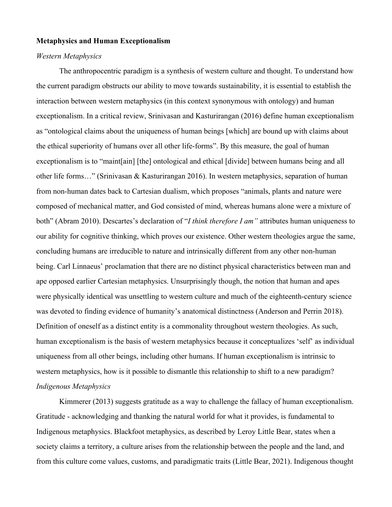## **Metaphysics and Human Exceptionalism**

## *Western Metaphysics*

The anthropocentric paradigm is a synthesis of western culture and thought. To understand how the current paradigm obstructs our ability to move towards sustainability, it is essential to establish the interaction between western metaphysics (in this context synonymous with ontology) and human exceptionalism. In a critical review, Srinivasan and Kasturirangan (2016) define human exceptionalism as "ontological claims about the uniqueness of human beings [which] are bound up with claims about the ethical superiority of humans over all other life-forms". By this measure, the goal of human exceptionalism is to "maint[ain] [the] ontological and ethical [divide] between humans being and all other life forms…" (Srinivasan & Kasturirangan 2016). In western metaphysics, separation of human from non-human dates back to Cartesian dualism, which proposes "animals, plants and nature were composed of mechanical matter, and God consisted of mind, whereas humans alone were a mixture of both" (Abram 2010). Descartes's declaration of "*I think therefore I am"* attributes human uniqueness to our ability for cognitive thinking, which proves our existence. Other western theologies argue the same, concluding humans are irreducible to nature and intrinsically different from any other non-human being. Carl Linnaeus' proclamation that there are no distinct physical characteristics between man and ape opposed earlier Cartesian metaphysics. Unsurprisingly though, the notion that human and apes were physically identical was unsettling to western culture and much of the eighteenth-century science was devoted to finding evidence of humanity's anatomical distinctness (Anderson and Perrin 2018). Definition of oneself as a distinct entity is a commonality throughout western theologies. As such, human exceptionalism is the basis of western metaphysics because it conceptualizes 'self' as individual uniqueness from all other beings, including other humans. If human exceptionalism is intrinsic to western metaphysics, how is it possible to dismantle this relationship to shift to a new paradigm? *Indigenous Metaphysics* 

Kimmerer (2013) suggests gratitude as a way to challenge the fallacy of human exceptionalism. Gratitude - acknowledging and thanking the natural world for what it provides, is fundamental to Indigenous metaphysics. Blackfoot metaphysics, as described by Leroy Little Bear, states when a society claims a territory, a culture arises from the relationship between the people and the land, and from this culture come values, customs, and paradigmatic traits (Little Bear, 2021). Indigenous thought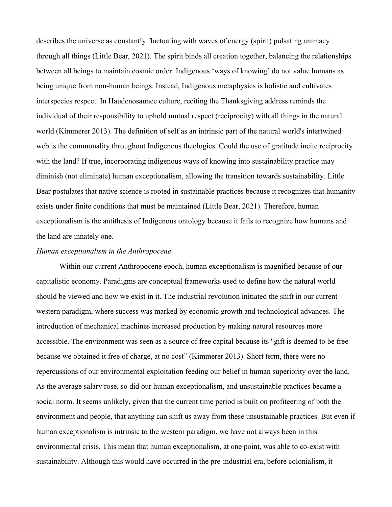describes the universe as constantly fluctuating with waves of energy (spirit) pulsating animacy through all things (Little Bear, 2021). The spirit binds all creation together, balancing the relationships between all beings to maintain cosmic order. Indigenous 'ways of knowing' do not value humans as being unique from non-human beings. Instead, Indigenous metaphysics is holistic and cultivates interspecies respect. In Haudenosaunee culture, reciting the Thanksgiving address reminds the individual of their responsibility to uphold mutual respect (reciprocity) with all things in the natural world (Kimmerer 2013). The definition of self as an intrinsic part of the natural world's intertwined web is the commonality throughout Indigenous theologies. Could the use of gratitude incite reciprocity with the land? If true, incorporating indigenous ways of knowing into sustainability practice may diminish (not eliminate) human exceptionalism, allowing the transition towards sustainability. Little Bear postulates that native science is rooted in sustainable practices because it recognizes that humanity exists under finite conditions that must be maintained (Little Bear, 2021). Therefore, human exceptionalism is the antithesis of Indigenous ontology because it fails to recognize how humans and the land are innately one.

## *Human exceptionalism in the Anthropocene*

Within our current Anthropocene epoch, human exceptionalism is magnified because of our capitalistic economy. Paradigms are conceptual frameworks used to define how the natural world should be viewed and how we exist in it. The industrial revolution initiated the shift in our current western paradigm, where success was marked by economic growth and technological advances. The introduction of mechanical machines increased production by making natural resources more accessible. The environment was seen as a source of free capital because its "gift is deemed to be free because we obtained it free of charge, at no cost" (Kimmerer 2013). Short term, there were no repercussions of our environmental exploitation feeding our belief in human superiority over the land. As the average salary rose, so did our human exceptionalism, and unsustainable practices became a social norm. It seems unlikely, given that the current time period is built on profiteering of both the environment and people, that anything can shift us away from these unsustainable practices. But even if human exceptionalism is intrinsic to the western paradigm, we have not always been in this environmental crisis. This mean that human exceptionalism, at one point, was able to co-exist with sustainability. Although this would have occurred in the pre-industrial era, before colonialism, it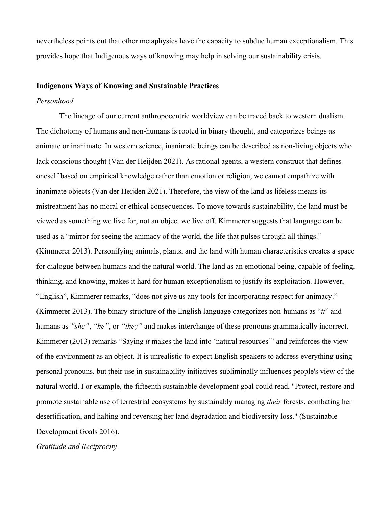nevertheless points out that other metaphysics have the capacity to subdue human exceptionalism. This provides hope that Indigenous ways of knowing may help in solving our sustainability crisis.

# **Indigenous Ways of Knowing and Sustainable Practices**

# *Personhood*

The lineage of our current anthropocentric worldview can be traced back to western dualism. The dichotomy of humans and non-humans is rooted in binary thought, and categorizes beings as animate or inanimate. In western science, inanimate beings can be described as non-living objects who lack conscious thought (Van der Heijden 2021). As rational agents, a western construct that defines oneself based on empirical knowledge rather than emotion or religion, we cannot empathize with inanimate objects (Van der Heijden 2021). Therefore, the view of the land as lifeless means its mistreatment has no moral or ethical consequences. To move towards sustainability, the land must be viewed as something we live for, not an object we live off. Kimmerer suggests that language can be used as a "mirror for seeing the animacy of the world, the life that pulses through all things." (Kimmerer 2013). Personifying animals, plants, and the land with human characteristics creates a space for dialogue between humans and the natural world. The land as an emotional being, capable of feeling, thinking, and knowing, makes it hard for human exceptionalism to justify its exploitation. However, "English", Kimmerer remarks, "does not give us any tools for incorporating respect for animacy." (Kimmerer 2013). The binary structure of the English language categorizes non-humans as "*it*" and humans as *"she"*, *"he"*, or *"they"* and makes interchange of these pronouns grammatically incorrect. Kimmerer (2013) remarks "Saying *it* makes the land into 'natural resources'" and reinforces the view of the environment as an object. It is unrealistic to expect English speakers to address everything using personal pronouns, but their use in sustainability initiatives subliminally influences people's view of the natural world. For example, the fifteenth sustainable development goal could read, "Protect, restore and promote sustainable use of terrestrial ecosystems by sustainably managing *their* forests, combating her desertification, and halting and reversing her land degradation and biodiversity loss." (Sustainable Development Goals 2016).

*Gratitude and Reciprocity*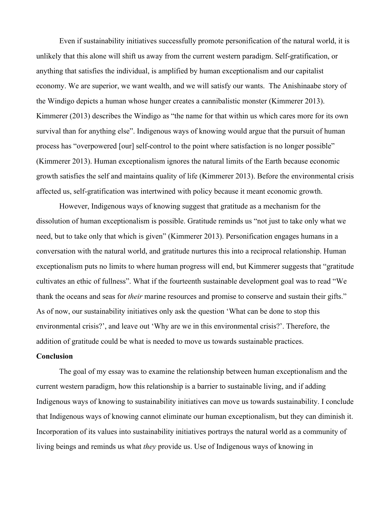Even if sustainability initiatives successfully promote personification of the natural world, it is unlikely that this alone will shift us away from the current western paradigm. Self-gratification, or anything that satisfies the individual, is amplified by human exceptionalism and our capitalist economy. We are superior, we want wealth, and we will satisfy our wants. The Anishinaabe story of the Windigo depicts a human whose hunger creates a cannibalistic monster (Kimmerer 2013). Kimmerer (2013) describes the Windigo as "the name for that within us which cares more for its own survival than for anything else". Indigenous ways of knowing would argue that the pursuit of human process has "overpowered [our] self-control to the point where satisfaction is no longer possible" (Kimmerer 2013). Human exceptionalism ignores the natural limits of the Earth because economic growth satisfies the self and maintains quality of life (Kimmerer 2013). Before the environmental crisis affected us, self-gratification was intertwined with policy because it meant economic growth.

However, Indigenous ways of knowing suggest that gratitude as a mechanism for the dissolution of human exceptionalism is possible. Gratitude reminds us "not just to take only what we need, but to take only that which is given" (Kimmerer 2013). Personification engages humans in a conversation with the natural world, and gratitude nurtures this into a reciprocal relationship. Human exceptionalism puts no limits to where human progress will end, but Kimmerer suggests that "gratitude cultivates an ethic of fullness". What if the fourteenth sustainable development goal was to read "We thank the oceans and seas for *their* marine resources and promise to conserve and sustain their gifts." As of now, our sustainability initiatives only ask the question 'What can be done to stop this environmental crisis?', and leave out 'Why are we in this environmental crisis?'. Therefore, the addition of gratitude could be what is needed to move us towards sustainable practices.

# **Conclusion**

The goal of my essay was to examine the relationship between human exceptionalism and the current western paradigm, how this relationship is a barrier to sustainable living, and if adding Indigenous ways of knowing to sustainability initiatives can move us towards sustainability. I conclude that Indigenous ways of knowing cannot eliminate our human exceptionalism, but they can diminish it. Incorporation of its values into sustainability initiatives portrays the natural world as a community of living beings and reminds us what *they* provide us. Use of Indigenous ways of knowing in